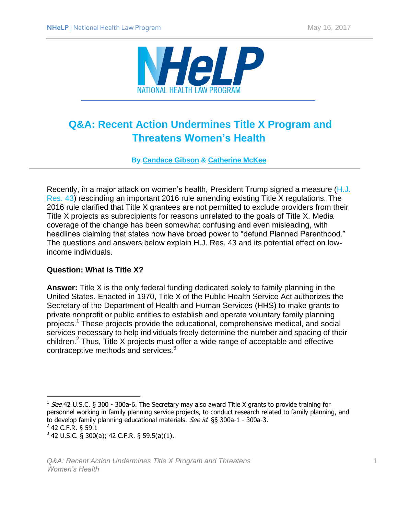

# **Q&A: Recent Action Undermines Title X Program and Threatens Women's Health**

**By [Candace Gibson](http://www.healthlaw.org/about/staff/556-candacegibson) & [Catherine McKee](http://www.healthlaw.org/about/staff/catherine-mckee)**

Recently, in a major attack on women's health, President Trump signed a measure [\(H.J.](https://www.congress.gov/bill/115th-congress/house-joint-resolution/43?q=%7B%22search%22%3A%5B%22hjres43%22%5D%7D&r=1)  [Res. 43\)](https://www.congress.gov/bill/115th-congress/house-joint-resolution/43?q=%7B%22search%22%3A%5B%22hjres43%22%5D%7D&r=1) rescinding an important 2016 rule amending existing Title X regulations. The 2016 rule clarified that Title X grantees are not permitted to exclude providers from their Title X projects as subrecipients for reasons unrelated to the goals of Title X. Media coverage of the change has been somewhat confusing and even misleading, with headlines claiming that states now have broad power to "defund Planned Parenthood." The questions and answers below explain H.J. Res. 43 and its potential effect on lowincome individuals.

## **Question: What is Title X?**

**Answer:** Title X is the only federal funding dedicated solely to family planning in the United States. Enacted in 1970, Title X of the Public Health Service Act authorizes the Secretary of the Department of Health and Human Services (HHS) to make grants to private nonprofit or public entities to establish and operate voluntary family planning projects.<sup>1</sup> These projects provide the educational, comprehensive medical, and social services necessary to help individuals freely determine the number and spacing of their children.<sup>2</sup> Thus, Title X projects must offer a wide range of acceptable and effective contraceptive methods and services.<sup>3</sup>

 $\overline{\phantom{a}}$ 

 $1$  See 42 U.S.C. § 300 - 300a-6. The Secretary may also award Title X grants to provide training for personnel working in family planning service projects, to conduct research related to family planning, and to develop family planning educational materials. See id. §§ 300a-1 - 300a-3.

 $2$  42 C.F.R. § 59.1

 $3$  42 U.S.C. § 300(a); 42 C.F.R. § 59.5(a)(1).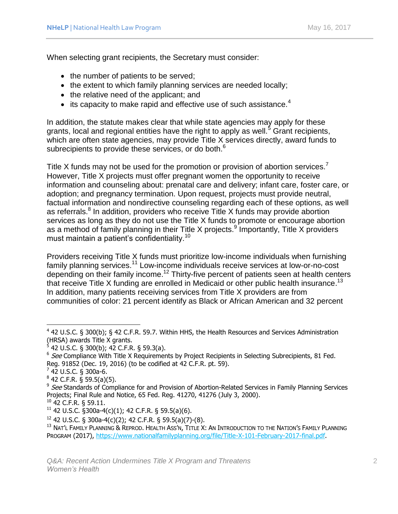When selecting grant recipients, the Secretary must consider:

- the number of patients to be served;
- the extent to which family planning services are needed locally;
- the relative need of the applicant; and
- $\bullet$  its capacity to make rapid and effective use of such assistance.<sup>4</sup>

In addition, the statute makes clear that while state agencies may apply for these grants, local and regional entities have the right to apply as well.<sup>5</sup> Grant recipients, which are often state agencies, may provide Title X services directly, award funds to subrecipients to provide these services, or do both.<sup>6</sup>

Title X funds may not be used for the promotion or provision of abortion services.<sup>7</sup> However, Title X projects must offer pregnant women the opportunity to receive information and counseling about: prenatal care and delivery; infant care, foster care, or adoption; and pregnancy termination. Upon request, projects must provide neutral, factual information and nondirective counseling regarding each of these options, as well as referrals.<sup>8</sup> In addition, providers who receive Title X funds may provide abortion services as long as they do not use the Title X funds to promote or encourage abortion as a method of family planning in their Title X projects.<sup>9</sup> Importantly, Title X providers must maintain a patient's confidentiality.<sup>10</sup>

Providers receiving Title X funds must prioritize low-income individuals when furnishing family planning services.<sup>11</sup> Low-income individuals receive services at low-or-no-cost depending on their family income.<sup>12</sup> Thirty-five percent of patients seen at health centers that receive Title X funding are enrolled in Medicaid or other public health insurance.<sup>13</sup> In addition, many patients receiving services from Title X providers are from communities of color: 21 percent identify as Black or African American and 32 percent

 $^7$  42 U.S.C. § 300a-6.

 $\overline{a}$ 

 $^8$  42 C.F.R. § 59.5(a)(5).

<sup>10</sup> 42 C.F.R. § 59.11.

 $12$  42 U.S.C. § 300a-4(c)(2); 42 C.F.R. § 59.5(a)(7)-(8).

 $4$  42 U.S.C. § 300(b); § 42 C.F.R. 59.7. Within HHS, the Health Resources and Services Administration (HRSA) awards Title X grants.<br><sup>5</sup> 42 U.S.C. § 300(b); 42 C.F.R. § 59.3(a).

 $6$  See Compliance With Title X Requirements by Project Recipients in Selecting Subrecipients, 81 Fed. Reg. 91852 (Dec. 19, 2016) (to be codified at 42 C.F.R. pt. 59).

<sup>&</sup>lt;sup>9</sup> See Standards of Compliance for and Provision of Abortion-Related Services in Family Planning Services Projects; Final Rule and Notice, 65 Fed. Reg. 41270, 41276 (July 3, 2000).

 $11$  42 U.S.C. §300a-4(c)(1); 42 C.F.R. § 59.5(a)(6).

<sup>&</sup>lt;sup>13</sup> Nat'l Family Planning & Reprod. Health Ass'n, Title X: An Introduction to the Nation's Family Planning PROGRAM (2017), [https://www.nationalfamilyplanning.org/file/Title-X-101-February-2017-final.pdf.](https://www.nationalfamilyplanning.org/file/Title-X-101-February-2017-final.pdf)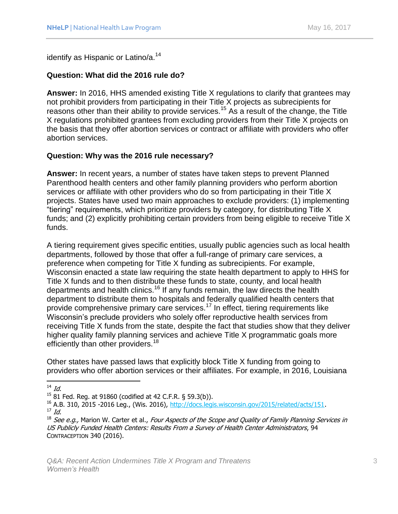identify as Hispanic or Latino/a.<sup>14</sup>

## **Question: What did the 2016 rule do?**

**Answer:** In 2016, HHS amended existing Title X regulations to clarify that grantees may not prohibit providers from participating in their Title X projects as subrecipients for reasons other than their ability to provide services.<sup>15</sup> As a result of the change, the Title X regulations prohibited grantees from excluding providers from their Title X projects on the basis that they offer abortion services or contract or affiliate with providers who offer abortion services.

## **Question: Why was the 2016 rule necessary?**

**Answer:** In recent years, a number of states have taken steps to prevent Planned Parenthood health centers and other family planning providers who perform abortion services or affiliate with other providers who do so from participating in their Title X projects. States have used two main approaches to exclude providers: (1) implementing "tiering" requirements, which prioritize providers by category, for distributing Title X funds; and (2) explicitly prohibiting certain providers from being eligible to receive Title X funds.

A tiering requirement gives specific entities, usually public agencies such as local health departments, followed by those that offer a full-range of primary care services, a preference when competing for Title X funding as subrecipients. For example, Wisconsin enacted a state law requiring the state health department to apply to HHS for Title X funds and to then distribute these funds to state, county, and local health departments and health clinics.<sup>16</sup> If any funds remain, the law directs the health department to distribute them to hospitals and federally qualified health centers that provide comprehensive primary care services.<sup>17</sup> In effect, tiering requirements like Wisconsin's preclude providers who solely offer reproductive health services from receiving Title X funds from the state, despite the fact that studies show that they deliver higher quality family planning services and achieve Title X programmatic goals more efficiently than other providers.<sup>18</sup>

Other states have passed laws that explicitly block Title X funding from going to providers who offer abortion services or their affiliates. For example, in 2016, Louisiana

 $\overline{\phantom{a}}$ 

 $^{14}$  Id.

<sup>15</sup> 81 Fed. Reg. at 91860 (codified at 42 C.F.R. § 59.3(b)).

<sup>&</sup>lt;sup>16</sup> A.B. 310, 2015 -2016 Leg., (Wis. 2016), [http://docs.legis.wisconsin.gov/2015/related/acts/151.](http://docs.legis.wisconsin.gov/2015/related/acts/151)  $17$  Id.

<sup>&</sup>lt;sup>18</sup> See e.g., Marion W. Carter et al., Four Aspects of the Scope and Quality of Family Planning Services in US Publicly Funded Health Centers: Results From a Survey of Health Center Administrators, 94 CONTRACEPTION 340 (2016).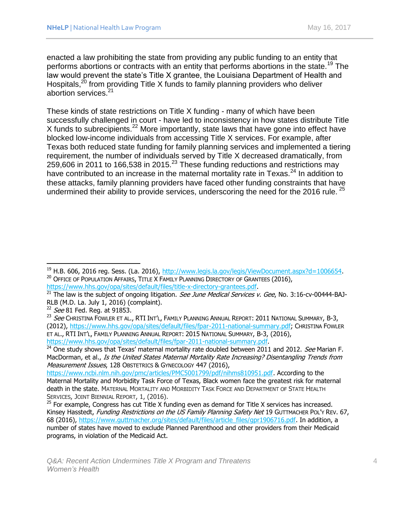enacted a law prohibiting the state from providing any public funding to an entity that performs abortions or contracts with an entity that performs abortions in the state.<sup>19</sup> The law would prevent the state's Title X grantee, the Louisiana Department of Health and Hospitals,<sup>20</sup> from providing Title X funds to family planning providers who deliver abortion services.<sup>21</sup>

These kinds of state restrictions on Title X funding - many of which have been successfully challenged in court - have led to inconsistency in how states distribute Title X funds to subrecipients.<sup>22</sup> More importantly, state laws that have gone into effect have blocked low-income individuals from accessing Title X services. For example, after Texas both reduced state funding for family planning services and implemented a tiering requirement, the number of individuals served by Title X decreased dramatically, from 259,606 in 2011 to 166,538 in 2015.<sup>23</sup> These funding reductions and restrictions may have contributed to an increase in the maternal mortality rate in Texas. $^{24}$  In addition to these attacks, family planning providers have faced other funding constraints that have undermined their ability to provide services, underscoring the need for the 2016 rule.  $25$ 

 $\overline{\phantom{a}}$ 

 $19$  H.B. 606, 2016 reg. Sess. (La. 2016), [http://www.legis.la.gov/legis/ViewDocument.aspx?d=1006654.](http://www.legis.la.gov/legis/ViewDocument.aspx?d=1006654) <sup>20</sup> OFFICE OF POPULATION AFFAIRS, TITLE X FAMILY PLANNING DIRECTORY OF GRANTEES (2016), [https://www.hhs.gov/opa/sites/default/files/title-x-directory-grantees.pdf.](https://www.hhs.gov/opa/sites/default/files/title-x-directory-grantees.pdf)

 $^{21}$  The law is the subject of ongoing litigation. See June Medical Services v. Gee, No. 3:16-cv-00444-BAJ-

RLB (M.D. La. July 1, 2016) (complaint). <sup>22</sup> See 81 Fed. Reg. at 91853.

<sup>&</sup>lt;sup>23</sup> See CHRISTINA FOWLER ET AL., RTI INT'L, FAMILY PLANNING ANNUAL REPORT: 2011 NATIONAL SUMMARY, B-3, (2012), [https://www.hhs.gov/opa/sites/default/files/fpar-2011-national-summary.pdf;](https://www.hhs.gov/opa/sites/default/files/fpar-2011-national-summary.pdf) CHRISTINA FOWLER ET AL., RTI INT'L, FAMILY PLANNING ANNUAL REPORT: 2015 NATIONAL SUMMARY, B-3, (2016), [https://www.hhs.gov/opa/sites/default/files/fpar-2011-national-summary.pdf.](https://www.hhs.gov/opa/sites/default/files/fpar-2011-national-summary.pdf)

 $^{24}$  One study shows that Texas' maternal mortality rate doubled between 2011 and 2012. See Marian F. MacDorman, et al., Is the United States Maternal Mortality Rate Increasing? Disentangling Trends from Measurement Issues, 128 OBSTETRICS & GYNECOLOGY 447 (2016),

[https://www.ncbi.nlm.nih.gov/pmc/articles/PMC5001799/pdf/nihms810951.pdf.](https://www.ncbi.nlm.nih.gov/pmc/articles/PMC5001799/pdf/nihms810951.pdf) According to the Maternal Mortality and Morbidity Task Force of Texas, Black women face the greatest risk for maternal death in the state. MATERNAL MORTALITY AND MORBIDITY TASK FORCE AND DEPARTMENT OF STATE HEALTH SERVICES, JOINT BIENNIAL REPORT, 1, (2016).

 $25$  For example, Congress has cut Title X funding even as demand for Title X services has increased. Kinsey Hasstedt, Funding Restrictions on the US Family Planning Safety Net 19 GUTTMACHER POL'Y REV. 67, 68 (2016), [https://www.guttmacher.org/sites/default/files/article\\_files/gpr1906716.pdf.](https://www.guttmacher.org/sites/default/files/article_files/gpr1906716.pdf) In addition, a number of states have moved to exclude Planned Parenthood and other providers from their Medicaid programs, in violation of the Medicaid Act.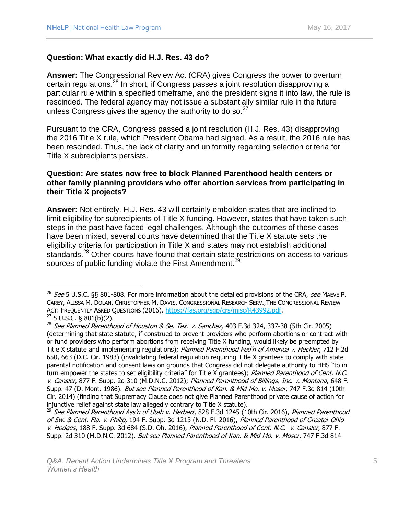$\overline{a}$ 

#### **Question: What exactly did H.J. Res. 43 do?**

**Answer:** The Congressional Review Act (CRA) gives Congress the power to overturn certain regulations.<sup>26</sup> In short, if Congress passes a joint resolution disapproving a particular rule within a specified timeframe, and the president signs it into law, the rule is rescinded. The federal agency may not issue a substantially similar rule in the future unless Congress gives the agency the authority to do so. $27$ 

Pursuant to the CRA, Congress passed a joint resolution (H.J. Res. 43) disapproving the 2016 Title X rule, which President Obama had signed. As a result, the 2016 rule has been rescinded. Thus, the lack of clarity and uniformity regarding selection criteria for Title X subrecipients persists.

#### **Question: Are states now free to block Planned Parenthood health centers or other family planning providers who offer abortion services from participating in their Title X projects?**

**Answer:** Not entirely. H.J. Res. 43 will certainly embolden states that are inclined to limit eligibility for subrecipients of Title X funding. However, states that have taken such steps in the past have faced legal challenges. Although the outcomes of these cases have been mixed, several courts have determined that the Title X statute sets the eligibility criteria for participation in Title X and states may not establish additional standards.<sup>28</sup> Other courts have found that certain state restrictions on access to various sources of public funding violate the First Amendment.<sup>29</sup>

<sup>&</sup>lt;sup>26</sup> See 5 U.S.C. §§ 801-808. For more information about the detailed provisions of the CRA, see MAEVE P. CAREY, ALISSA M. DOLAN, CHRISTOPHER M. DAVIS, CONGRESSIONAL RESEARCH SERV.,THE CONGRESSIONAL REVIEW ACT: FREQUENTLY ASKED QUESTIONS (2016), [https://fas.org/sgp/crs/misc/R43992.pdf.](https://fas.org/sgp/crs/misc/R43992.pdf)  $27$  5 U.S.C. § 801(b)(2).

 $^{28}$  See Planned Parenthood of Houston & Se. Tex. v. Sanchez, 403 F.3d 324, 337-38 (5th Cir. 2005) (determining that state statute, if construed to prevent providers who perform abortions or contract with or fund providers who perform abortions from receiving Title X funding, would likely be preempted by Title X statute and implementing regulations); Planned Parenthood Fed'n of America v. Heckler, 712 F.2d 650, 663 (D.C. Cir. 1983) (invalidating federal regulation requiring Title X grantees to comply with state parental notification and consent laws on grounds that Congress did not delegate authority to HHS "to in turn empower the states to set eligibility criteria" for Title X grantees); Planned Parenthood of Cent. N.C. v. Cansler, 877 F. Supp. 2d 310 (M.D.N.C. 2012); Planned Parenthood of Billings, Inc. v. Montana, 648 F. Supp. 47 (D. Mont. 1986). But see Planned Parenthood of Kan. & Mid-Mo. v. Moser, 747 F.3d 814 (10th Cir. 2014) (finding that Supremacy Clause does not give Planned Parenthood private cause of action for injunctive relief against state law allegedly contrary to Title X statute).

<sup>&</sup>lt;sup>29</sup> See Planned Parenthood Ass'n of Utah v. Herbert, 828 F.3d 1245 (10th Cir. 2016), Planned Parenthood of Sw. & Cent. Fla. v. Philip, 194 F. Supp. 3d 1213 (N.D. Fl. 2016), Planned Parenthood of Greater Ohio v. Hodges, 188 F. Supp. 3d 684 (S.D. Oh. 2016), Planned Parenthood of Cent. N.C. v. Cansler, 877 F. Supp. 2d 310 (M.D.N.C. 2012). But see Planned Parenthood of Kan. & Mid-Mo. v. Moser, 747 F.3d 814